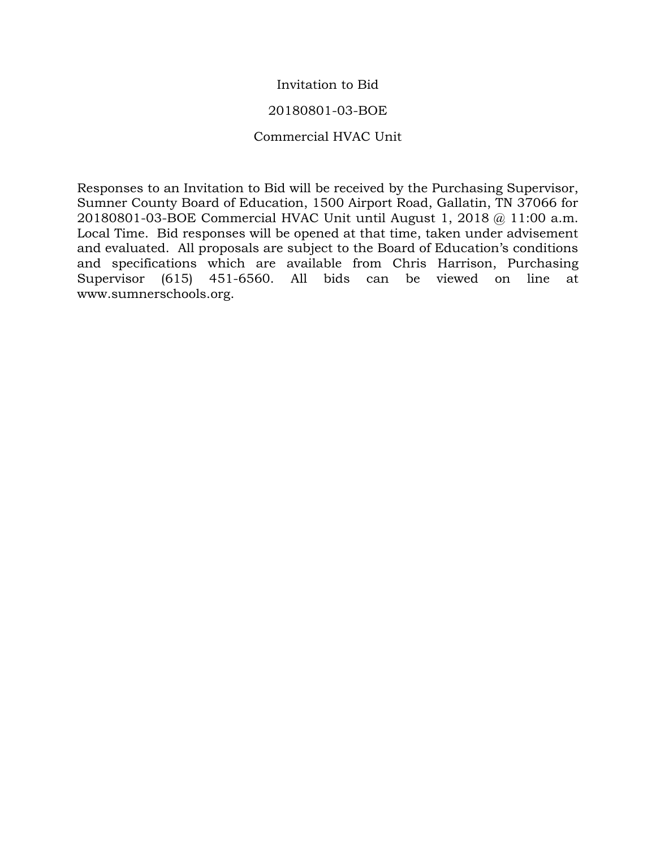#### Invitation to Bid

#### 20180801-03-BOE

#### Commercial HVAC Unit

Responses to an Invitation to Bid will be received by the Purchasing Supervisor, Sumner County Board of Education, 1500 Airport Road, Gallatin, TN 37066 for 20180801-03-BOE Commercial HVAC Unit until August 1, 2018 @ 11:00 a.m. Local Time. Bid responses will be opened at that time, taken under advisement and evaluated. All proposals are subject to the Board of Education's conditions and specifications which are available from Chris Harrison, Purchasing Supervisor (615) 451-6560. All bids can be viewed on line at www.sumnerschools.org.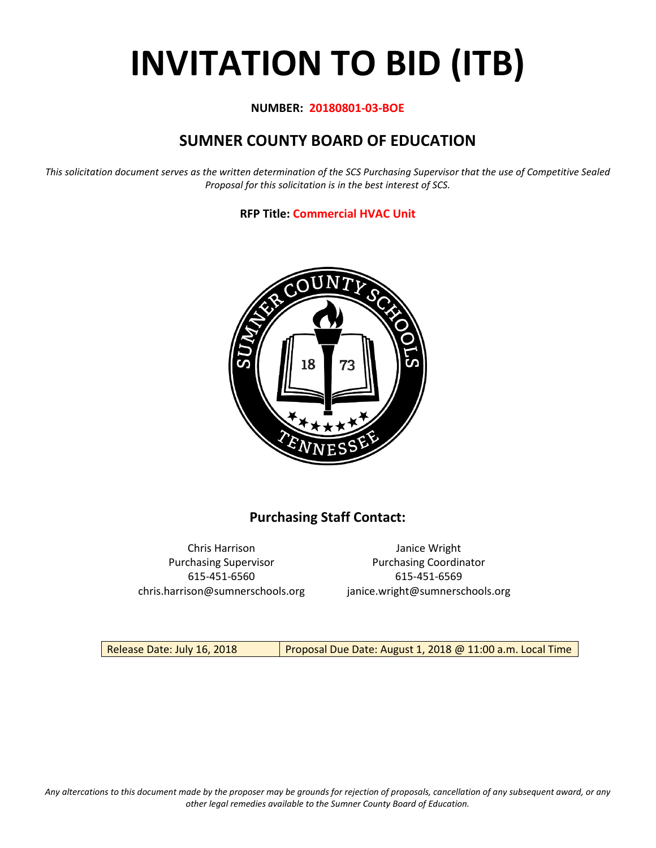# **INVITATION TO BID (ITB)**

#### **NUMBER: 20180801-03-BOE**

# **SUMNER COUNTY BOARD OF EDUCATION**

*This solicitation document serves as the written determination of the SCS Purchasing Supervisor that the use of Competitive Sealed Proposal for this solicitation is in the best interest of SCS.*

**RFP Title: Commercial HVAC Unit**



## **Purchasing Staff Contact:**

Chris Harrison Janice Wright 615-451-6560 615-451-6569 chris.harrison@sumnerschools.org janice.wright@sumnerschools.org

Purchasing Supervisor **Purchasing Coordinator** 

Release Date: July 16, 2018 | Proposal Due Date: August 1, 2018 @ 11:00 a.m. Local Time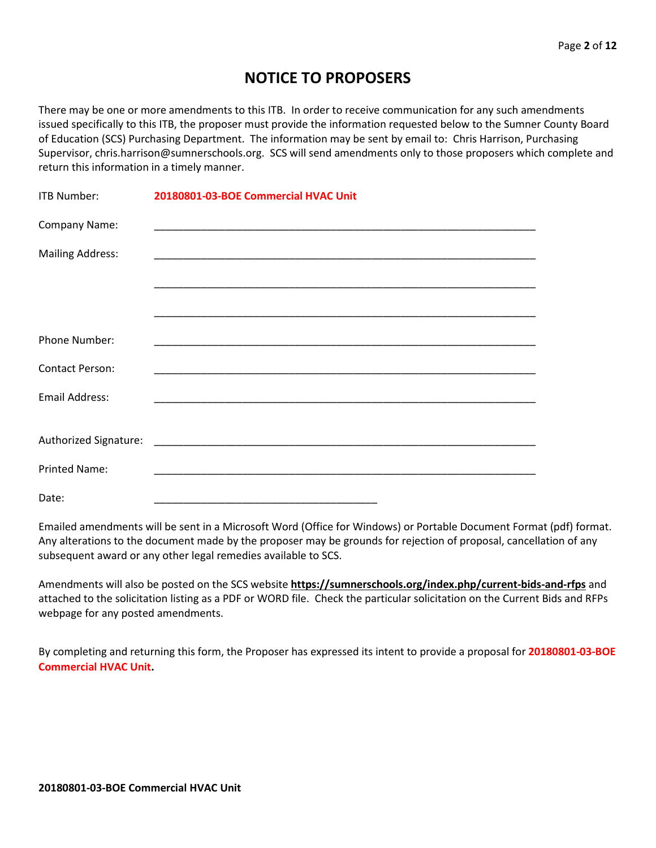## **NOTICE TO PROPOSERS**

There may be one or more amendments to this ITB. In order to receive communication for any such amendments issued specifically to this ITB, the proposer must provide the information requested below to the Sumner County Board of Education (SCS) Purchasing Department. The information may be sent by email to: Chris Harrison, Purchasing Supervisor, chris.harrison@sumnerschools.org. SCS will send amendments only to those proposers which complete and return this information in a timely manner.

| ITB Number:             | 20180801-03-BOE Commercial HVAC Unit |
|-------------------------|--------------------------------------|
| Company Name:           |                                      |
| <b>Mailing Address:</b> |                                      |
|                         |                                      |
|                         |                                      |
| Phone Number:           |                                      |
| <b>Contact Person:</b>  |                                      |
| <b>Email Address:</b>   |                                      |
|                         |                                      |
|                         |                                      |
| <b>Printed Name:</b>    |                                      |
| Date:                   |                                      |

Emailed amendments will be sent in a Microsoft Word (Office for Windows) or Portable Document Format (pdf) format. Any alterations to the document made by the proposer may be grounds for rejection of proposal, cancellation of any subsequent award or any other legal remedies available to SCS.

Amendments will also be posted on the SCS website **https://sumnerschools.org/index.php/current-bids-and-rfps** and attached to the solicitation listing as a PDF or WORD file. Check the particular solicitation on the Current Bids and RFPs webpage for any posted amendments.

By completing and returning this form, the Proposer has expressed its intent to provide a proposal for **20180801-03-BOE Commercial HVAC Unit.**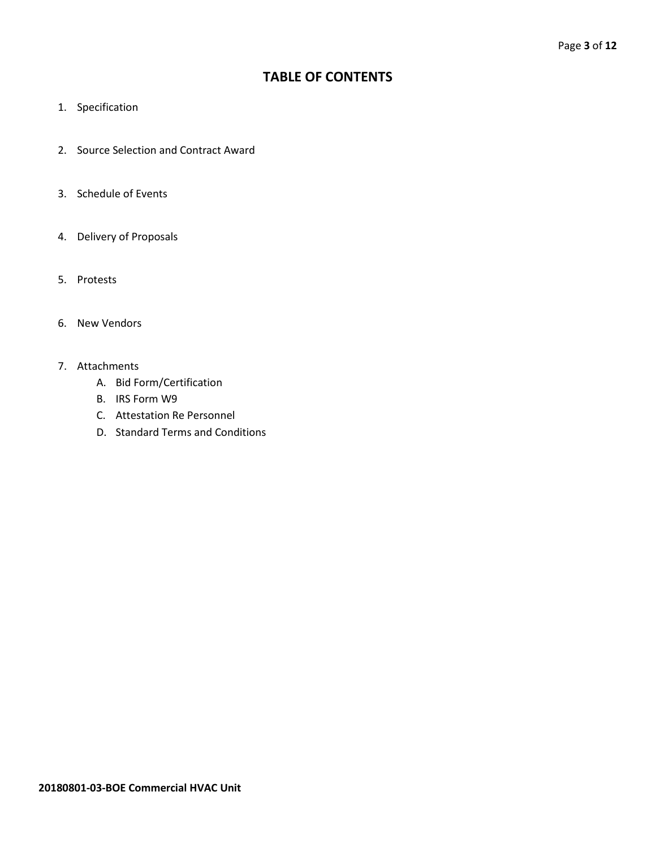## **TABLE OF CONTENTS**

- 1. Specification
- 2. Source Selection and Contract Award
- 3. Schedule of Events
- 4. Delivery of Proposals
- 5. Protests
- 6. New Vendors
- 7. Attachments
	- A. Bid Form/Certification
	- B. IRS Form W9
	- C. Attestation Re Personnel
	- D. Standard Terms and Conditions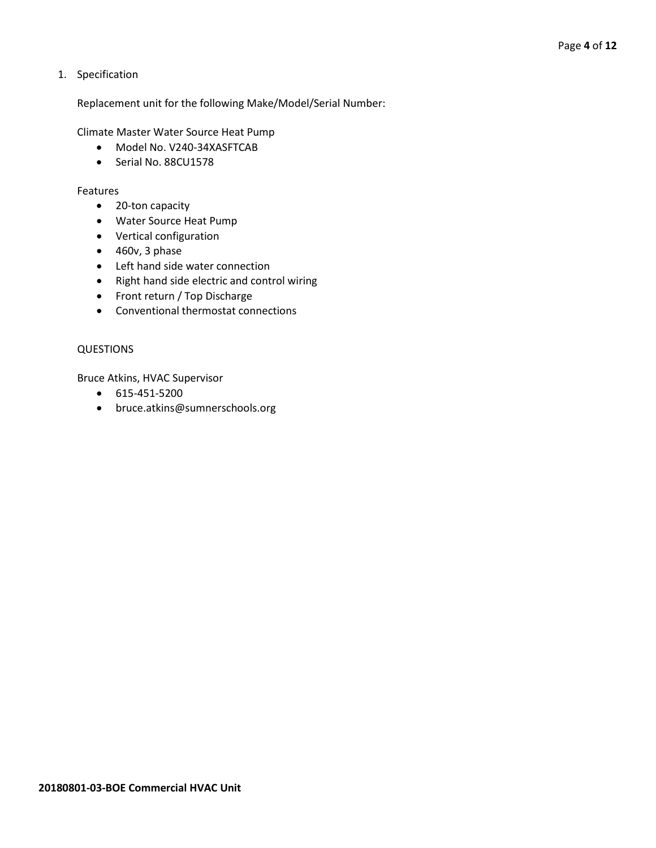1. Specification

Replacement unit for the following Make/Model/Serial Number:

Climate Master Water Source Heat Pump

- Model No. V240-34XASFTCAB
- Serial No. 88CU1578

#### Features

- 20-ton capacity
- Water Source Heat Pump
- Vertical configuration
- 460v, 3 phase
- Left hand side water connection
- Right hand side electric and control wiring
- Front return / Top Discharge
- Conventional thermostat connections

#### QUESTIONS

Bruce Atkins, HVAC Supervisor

- 615-451-5200
- bruce.atkins@sumnerschools.org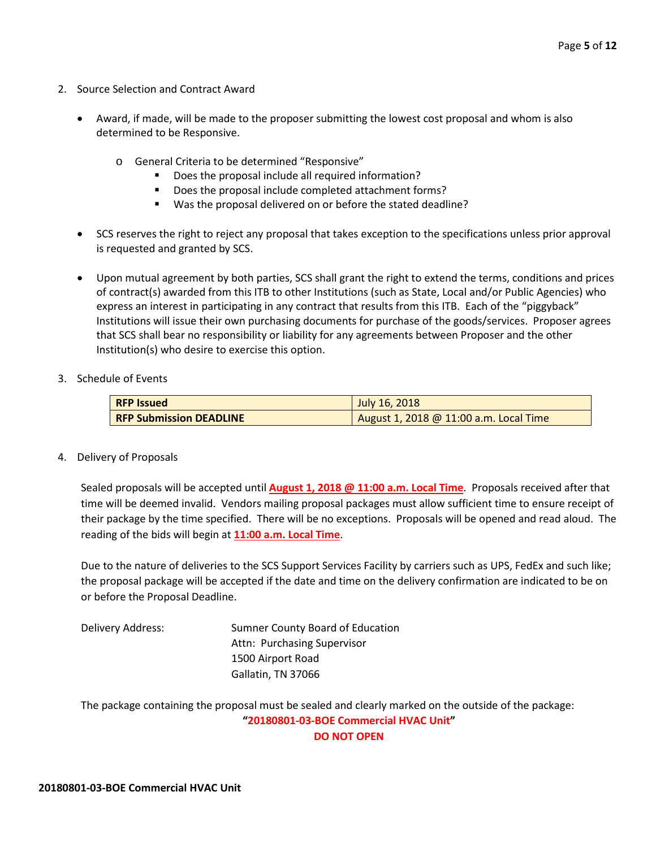- 2. Source Selection and Contract Award
	- Award, if made, will be made to the proposer submitting the lowest cost proposal and whom is also determined to be Responsive.
		- o General Criteria to be determined "Responsive"
			- **•** Does the proposal include all required information?
			- Does the proposal include completed attachment forms?
			- Was the proposal delivered on or before the stated deadline?
	- SCS reserves the right to reject any proposal that takes exception to the specifications unless prior approval is requested and granted by SCS.
	- Upon mutual agreement by both parties, SCS shall grant the right to extend the terms, conditions and prices of contract(s) awarded from this ITB to other Institutions (such as State, Local and/or Public Agencies) who express an interest in participating in any contract that results from this ITB. Each of the "piggyback" Institutions will issue their own purchasing documents for purchase of the goods/services. Proposer agrees that SCS shall bear no responsibility or liability for any agreements between Proposer and the other Institution(s) who desire to exercise this option.
- 3. Schedule of Events

| <b>RFP Issued</b>              | July 16, 2018                          |
|--------------------------------|----------------------------------------|
| <b>RFP Submission DEADLINE</b> | August 1, 2018 @ 11:00 a.m. Local Time |

4. Delivery of Proposals

Sealed proposals will be accepted until **August 1, 2018 @ 11:00 a.m. Local Time**. Proposals received after that time will be deemed invalid. Vendors mailing proposal packages must allow sufficient time to ensure receipt of their package by the time specified. There will be no exceptions. Proposals will be opened and read aloud. The reading of the bids will begin at **11:00 a.m. Local Time**.

Due to the nature of deliveries to the SCS Support Services Facility by carriers such as UPS, FedEx and such like; the proposal package will be accepted if the date and time on the delivery confirmation are indicated to be on or before the Proposal Deadline.

Delivery Address: Sumner County Board of Education Attn: Purchasing Supervisor 1500 Airport Road Gallatin, TN 37066

The package containing the proposal must be sealed and clearly marked on the outside of the package: **"20180801-03-BOE Commercial HVAC Unit"**

**DO NOT OPEN**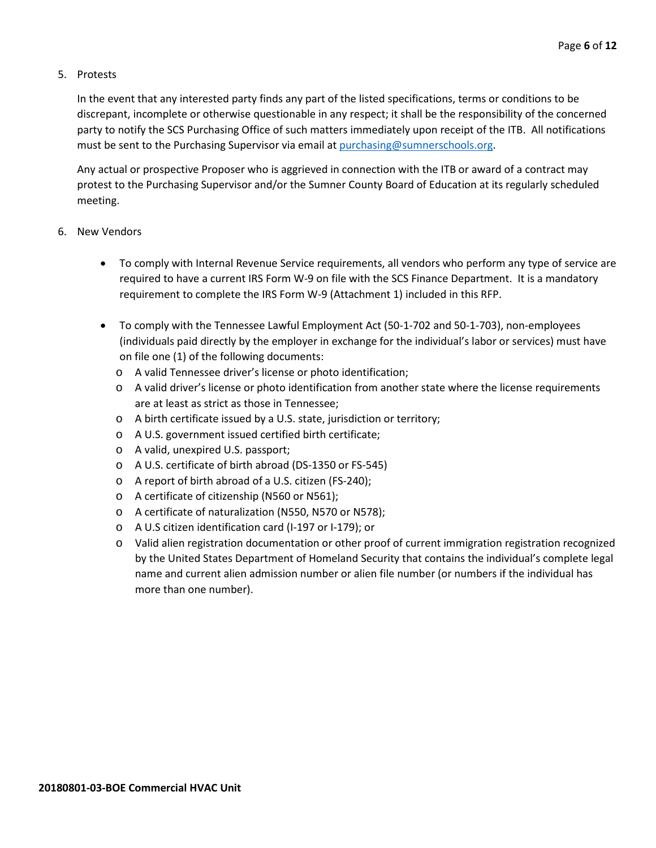#### 5. Protests

In the event that any interested party finds any part of the listed specifications, terms or conditions to be discrepant, incomplete or otherwise questionable in any respect; it shall be the responsibility of the concerned party to notify the SCS Purchasing Office of such matters immediately upon receipt of the ITB. All notifications must be sent to the Purchasing Supervisor via email at [purchasing@sumnerschools.org.](mailto:purchasing@sumnerschools.org)

Any actual or prospective Proposer who is aggrieved in connection with the ITB or award of a contract may protest to the Purchasing Supervisor and/or the Sumner County Board of Education at its regularly scheduled meeting.

#### 6. New Vendors

- To comply with Internal Revenue Service requirements, all vendors who perform any type of service are required to have a current IRS Form W-9 on file with the SCS Finance Department. It is a mandatory requirement to complete the IRS Form W-9 (Attachment 1) included in this RFP.
- To comply with the Tennessee Lawful Employment Act (50-1-702 and 50-1-703), non-employees (individuals paid directly by the employer in exchange for the individual's labor or services) must have on file one (1) of the following documents:
	- o A valid Tennessee driver's license or photo identification;
	- o A valid driver's license or photo identification from another state where the license requirements are at least as strict as those in Tennessee;
	- o A birth certificate issued by a U.S. state, jurisdiction or territory;
	- o A U.S. government issued certified birth certificate;
	- o A valid, unexpired U.S. passport;
	- o A U.S. certificate of birth abroad (DS-1350 or FS-545)
	- o A report of birth abroad of a U.S. citizen (FS-240);
	- o A certificate of citizenship (N560 or N561);
	- o A certificate of naturalization (N550, N570 or N578);
	- o A U.S citizen identification card (I-197 or I-179); or
	- o Valid alien registration documentation or other proof of current immigration registration recognized by the United States Department of Homeland Security that contains the individual's complete legal name and current alien admission number or alien file number (or numbers if the individual has more than one number).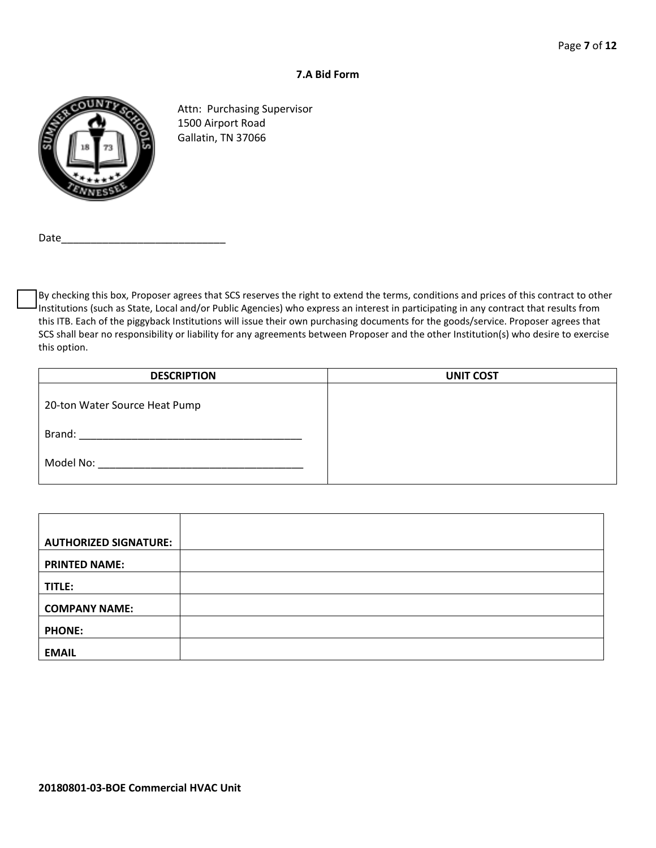#### **7.A Bid Form**



Attn: Purchasing Supervisor 1500 Airport Road Gallatin, TN 37066

Date

By checking this box, Proposer agrees that SCS reserves the right to extend the terms, conditions and prices of this contract to other Institutions (such as State, Local and/or Public Agencies) who express an interest in participating in any contract that results from this ITB. Each of the piggyback Institutions will issue their own purchasing documents for the goods/service. Proposer agrees that SCS shall bear no responsibility or liability for any agreements between Proposer and the other Institution(s) who desire to exercise this option.

| <b>DESCRIPTION</b>            | <b>UNIT COST</b> |
|-------------------------------|------------------|
| 20-ton Water Source Heat Pump |                  |
| Brand:                        |                  |
| Model No:                     |                  |

| <b>AUTHORIZED SIGNATURE:</b> |  |
|------------------------------|--|
| <b>PRINTED NAME:</b>         |  |
| TITLE:                       |  |
| <b>COMPANY NAME:</b>         |  |
| <b>PHONE:</b>                |  |
| <b>EMAIL</b>                 |  |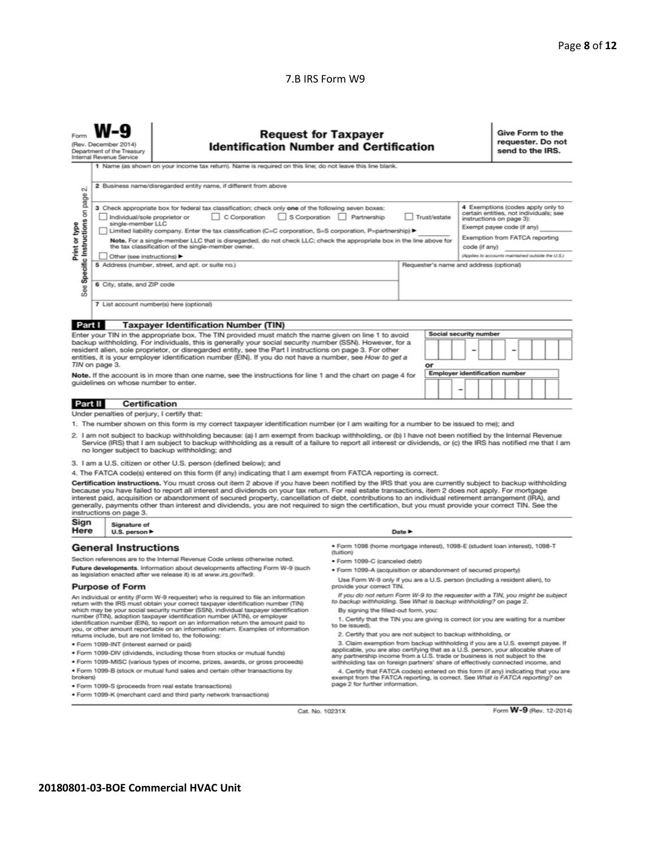#### 7.B IRS Form W9

| <b>Request for Taxpayer</b><br><b>Identification Number and Certification</b><br>(Rev. December 2014)<br>Department of the Treasury<br>Internal Revenue Service<br>1 Name (as shown on your income tax return). Name is required on this line; do not leave this line blank.                                                                                                                                                                                                                                                                                                                                                                                                                                                                                          |                                                                                                                                                   |                                                                                                                                                                                                                      |                                                                                                                                              |  |    |  |                                       |  | Give Form to the<br>requester. Do not<br>send to the IRS. |  |  |  |
|-----------------------------------------------------------------------------------------------------------------------------------------------------------------------------------------------------------------------------------------------------------------------------------------------------------------------------------------------------------------------------------------------------------------------------------------------------------------------------------------------------------------------------------------------------------------------------------------------------------------------------------------------------------------------------------------------------------------------------------------------------------------------|---------------------------------------------------------------------------------------------------------------------------------------------------|----------------------------------------------------------------------------------------------------------------------------------------------------------------------------------------------------------------------|----------------------------------------------------------------------------------------------------------------------------------------------|--|----|--|---------------------------------------|--|-----------------------------------------------------------|--|--|--|
| 2 Business name/disregarded entity name, if different from above<br>$\sim$<br>page                                                                                                                                                                                                                                                                                                                                                                                                                                                                                                                                                                                                                                                                                    |                                                                                                                                                   |                                                                                                                                                                                                                      |                                                                                                                                              |  |    |  |                                       |  |                                                           |  |  |  |
| 4 Exemptions (codes apply only to<br>3 Check appropriate box for federal tax classification; check only one of the following seven boxes:<br>Specific Instructions on<br>certain entities, not individuals; see<br>S Corporation Partnership<br>Individual/sole proprietor or<br>$\Box$ C Corporation<br>Trust/estate<br>instructions on page 3):<br>single-member LLC<br>Print or type<br>Exempt payee code (if any)<br>Limited liability company. Enter the tax classification (C=C corporation, S=S corporation, P=partnership) ▶<br>Exemption from FATCA reporting<br>Note. For a single-member LLC that is disregarded, do not check LLC; check the appropriate box in the line above for<br>the tax classification of the single-member owner.<br>code (if any) |                                                                                                                                                   |                                                                                                                                                                                                                      |                                                                                                                                              |  |    |  |                                       |  |                                                           |  |  |  |
|                                                                                                                                                                                                                                                                                                                                                                                                                                                                                                                                                                                                                                                                                                                                                                       | Other (see instructions)                                                                                                                          |                                                                                                                                                                                                                      |                                                                                                                                              |  |    |  |                                       |  |                                                           |  |  |  |
|                                                                                                                                                                                                                                                                                                                                                                                                                                                                                                                                                                                                                                                                                                                                                                       | (Applies to accounts maintained outside the U.S.)<br>5 Address (number, street, and apt. or suite no.)<br>Requester's name and address (optional) |                                                                                                                                                                                                                      |                                                                                                                                              |  |    |  |                                       |  |                                                           |  |  |  |
| See                                                                                                                                                                                                                                                                                                                                                                                                                                                                                                                                                                                                                                                                                                                                                                   | 6 City, state, and ZIP code                                                                                                                       |                                                                                                                                                                                                                      |                                                                                                                                              |  |    |  |                                       |  |                                                           |  |  |  |
| 7 List account number(s) here (optional)                                                                                                                                                                                                                                                                                                                                                                                                                                                                                                                                                                                                                                                                                                                              |                                                                                                                                                   |                                                                                                                                                                                                                      |                                                                                                                                              |  |    |  |                                       |  |                                                           |  |  |  |
| Part I                                                                                                                                                                                                                                                                                                                                                                                                                                                                                                                                                                                                                                                                                                                                                                |                                                                                                                                                   | <b>Taxpayer Identification Number (TIN)</b>                                                                                                                                                                          |                                                                                                                                              |  |    |  |                                       |  |                                                           |  |  |  |
|                                                                                                                                                                                                                                                                                                                                                                                                                                                                                                                                                                                                                                                                                                                                                                       |                                                                                                                                                   | Enter your TIN in the appropriate box. The TIN provided must match the name given on line 1 to avoid                                                                                                                 |                                                                                                                                              |  |    |  | Social security number                |  |                                                           |  |  |  |
|                                                                                                                                                                                                                                                                                                                                                                                                                                                                                                                                                                                                                                                                                                                                                                       |                                                                                                                                                   | backup withholding. For individuals, this is generally your social security number (SSN). However, for a<br>resident alien, sole proprietor, or disregarded entity, see the Part I instructions on page 3. For other |                                                                                                                                              |  |    |  |                                       |  |                                                           |  |  |  |
|                                                                                                                                                                                                                                                                                                                                                                                                                                                                                                                                                                                                                                                                                                                                                                       |                                                                                                                                                   | entities, it is your employer identification number (EIN). If you do not have a number, see How to get a                                                                                                             |                                                                                                                                              |  |    |  |                                       |  |                                                           |  |  |  |
|                                                                                                                                                                                                                                                                                                                                                                                                                                                                                                                                                                                                                                                                                                                                                                       | TIN on page 3.                                                                                                                                    |                                                                                                                                                                                                                      |                                                                                                                                              |  | or |  |                                       |  |                                                           |  |  |  |
|                                                                                                                                                                                                                                                                                                                                                                                                                                                                                                                                                                                                                                                                                                                                                                       |                                                                                                                                                   | Note. If the account is in more than one name, see the instructions for line 1 and the chart on page 4 for                                                                                                           |                                                                                                                                              |  |    |  | <b>Employer identification number</b> |  |                                                           |  |  |  |
|                                                                                                                                                                                                                                                                                                                                                                                                                                                                                                                                                                                                                                                                                                                                                                       | guidelines on whose number to enter.                                                                                                              |                                                                                                                                                                                                                      |                                                                                                                                              |  |    |  |                                       |  |                                                           |  |  |  |
| Part II                                                                                                                                                                                                                                                                                                                                                                                                                                                                                                                                                                                                                                                                                                                                                               | <b>Certification</b>                                                                                                                              |                                                                                                                                                                                                                      |                                                                                                                                              |  |    |  |                                       |  |                                                           |  |  |  |
|                                                                                                                                                                                                                                                                                                                                                                                                                                                                                                                                                                                                                                                                                                                                                                       | Under penalties of perjury, I certify that:                                                                                                       |                                                                                                                                                                                                                      |                                                                                                                                              |  |    |  |                                       |  |                                                           |  |  |  |
|                                                                                                                                                                                                                                                                                                                                                                                                                                                                                                                                                                                                                                                                                                                                                                       |                                                                                                                                                   | 1. The number shown on this form is my correct taxpayer identification number (or I am waiting for a number to be issued to me); and                                                                                 |                                                                                                                                              |  |    |  |                                       |  |                                                           |  |  |  |
| 2. I am not subject to backup withholding because: (a) I am exempt from backup withholding, or (b) I have not been notified by the Internal Revenue<br>Service (IRS) that I am subject to backup withholding as a result of a failure to report all interest or dividends, or (c) the IRS has notified me that I am<br>no longer subject to backup withholding; and                                                                                                                                                                                                                                                                                                                                                                                                   |                                                                                                                                                   |                                                                                                                                                                                                                      |                                                                                                                                              |  |    |  |                                       |  |                                                           |  |  |  |
|                                                                                                                                                                                                                                                                                                                                                                                                                                                                                                                                                                                                                                                                                                                                                                       |                                                                                                                                                   | 3. I am a U.S. citizen or other U.S. person (defined below); and                                                                                                                                                     |                                                                                                                                              |  |    |  |                                       |  |                                                           |  |  |  |
|                                                                                                                                                                                                                                                                                                                                                                                                                                                                                                                                                                                                                                                                                                                                                                       |                                                                                                                                                   | 4. The FATCA code(s) entered on this form (if any) indicating that I am exempt from FATCA reporting is correct.                                                                                                      |                                                                                                                                              |  |    |  |                                       |  |                                                           |  |  |  |
| Certification instructions. You must cross out item 2 above if you have been notified by the IRS that you are currently subject to backup withholding<br>because you have failed to report all interest and dividends on your tax return. For real estate transactions, item 2 does not apply. For mortgage<br>interest paid, acquisition or abandonment of secured property, cancellation of debt, contributions to an individual retirement arrangement (IRA), and<br>generally, payments other than interest and dividends, you are not required to sign the certification, but you must provide your correct TIN. See the<br>instructions on page 3.                                                                                                              |                                                                                                                                                   |                                                                                                                                                                                                                      |                                                                                                                                              |  |    |  |                                       |  |                                                           |  |  |  |
| Sign<br>Signature of<br>Here<br>Date $\blacktriangleright$<br>U.S. person $\blacktriangleright$                                                                                                                                                                                                                                                                                                                                                                                                                                                                                                                                                                                                                                                                       |                                                                                                                                                   |                                                                                                                                                                                                                      |                                                                                                                                              |  |    |  |                                       |  |                                                           |  |  |  |
| · Form 1098 (home mortgage interest), 1098-E (student loan interest), 1098-T<br><b>General Instructions</b><br>(tuition)                                                                                                                                                                                                                                                                                                                                                                                                                                                                                                                                                                                                                                              |                                                                                                                                                   |                                                                                                                                                                                                                      |                                                                                                                                              |  |    |  |                                       |  |                                                           |  |  |  |
|                                                                                                                                                                                                                                                                                                                                                                                                                                                                                                                                                                                                                                                                                                                                                                       |                                                                                                                                                   | Section references are to the Internal Revenue Code unless otherwise noted.                                                                                                                                          | · Form 1099-C (canceled debt)                                                                                                                |  |    |  |                                       |  |                                                           |  |  |  |
| Future developments. Information about developments affecting Form W-9 (such<br>· Form 1099-A (acquisition or abandonment of secured property)<br>as legislation enacted after we release it) is at www.irs.gov/fw9.                                                                                                                                                                                                                                                                                                                                                                                                                                                                                                                                                  |                                                                                                                                                   |                                                                                                                                                                                                                      |                                                                                                                                              |  |    |  |                                       |  |                                                           |  |  |  |
| <b>Purpose of Form</b>                                                                                                                                                                                                                                                                                                                                                                                                                                                                                                                                                                                                                                                                                                                                                |                                                                                                                                                   |                                                                                                                                                                                                                      | Use Form W-9 only if you are a U.S. person (including a resident alien), to<br>provide your correct TIN.                                     |  |    |  |                                       |  |                                                           |  |  |  |
| If you do not return Form W-9 to the requester with a TIN, you might be subject<br>An individual or entity (Form W-9 requester) who is required to file an information<br>to backup withholding. See What is backup withholding? on page 2.<br>return with the IRS must obtain your correct taxpayer identification number (TIN)                                                                                                                                                                                                                                                                                                                                                                                                                                      |                                                                                                                                                   |                                                                                                                                                                                                                      |                                                                                                                                              |  |    |  |                                       |  |                                                           |  |  |  |
| which may be your social security number (SSN), individual taxpayer identification<br>number (ITIN), adoption taxpayer identification number (ATIN), or employer<br>identification number (EIN), to report on an information return the amount paid to<br>you, or other amount reportable on an information return. Examples of information                                                                                                                                                                                                                                                                                                                                                                                                                           |                                                                                                                                                   |                                                                                                                                                                                                                      | By signing the filled-out form, you:<br>1. Certify that the TIN you are giving is correct (or you are waiting for a number<br>to be issued). |  |    |  |                                       |  |                                                           |  |  |  |
| 2. Certify that you are not subject to backup withholding, or<br>returns include, but are not limited to, the following:                                                                                                                                                                                                                                                                                                                                                                                                                                                                                                                                                                                                                                              |                                                                                                                                                   |                                                                                                                                                                                                                      |                                                                                                                                              |  |    |  |                                       |  |                                                           |  |  |  |
| 3. Claim exemption from backup withholding if you are a U.S. exempt payee. If<br>· Form 1099-INT (interest earned or paid)<br>applicable, you are also certifying that as a U.S. person, your allocable share of                                                                                                                                                                                                                                                                                                                                                                                                                                                                                                                                                      |                                                                                                                                                   |                                                                                                                                                                                                                      |                                                                                                                                              |  |    |  |                                       |  |                                                           |  |  |  |
| . Form 1099-DIV (dividends, including those from stocks or mutual funds)<br>any partnership income from a U.S. trade or business is not subject to the                                                                                                                                                                                                                                                                                                                                                                                                                                                                                                                                                                                                                |                                                                                                                                                   |                                                                                                                                                                                                                      |                                                                                                                                              |  |    |  |                                       |  |                                                           |  |  |  |
| * Form 1099-MISC (various types of income, prizes, awards, or gross proceeds)<br>withholding tax on foreign partners' share of effectively connected income, and                                                                                                                                                                                                                                                                                                                                                                                                                                                                                                                                                                                                      |                                                                                                                                                   |                                                                                                                                                                                                                      |                                                                                                                                              |  |    |  |                                       |  |                                                           |  |  |  |
| . Form 1099-B (stock or mutual fund sales and certain other transactions by<br>4. Certify that FATCA code(s) entered on this form (if any) indicating that you are<br>exempt from the FATCA reporting, is correct. See What is FATCA reporting? on<br>brokers)<br>page 2 for further information.                                                                                                                                                                                                                                                                                                                                                                                                                                                                     |                                                                                                                                                   |                                                                                                                                                                                                                      |                                                                                                                                              |  |    |  |                                       |  |                                                           |  |  |  |
| · Form 1099-S (proceeds from real estate transactions)<br>. Form 1099-K (merchant card and third party network transactions)                                                                                                                                                                                                                                                                                                                                                                                                                                                                                                                                                                                                                                          |                                                                                                                                                   |                                                                                                                                                                                                                      |                                                                                                                                              |  |    |  |                                       |  |                                                           |  |  |  |

Cat. No. 10231X

Form W-9 (Rev. 12-2014)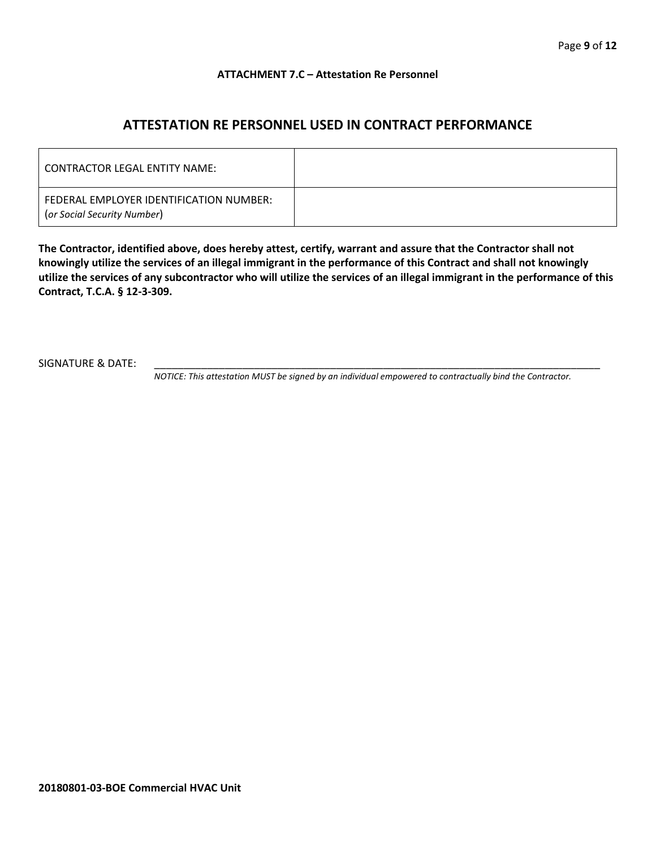#### **ATTACHMENT 7.C – Attestation Re Personnel**

## **ATTESTATION RE PERSONNEL USED IN CONTRACT PERFORMANCE**

| CONTRACTOR LEGAL ENTITY NAME:                                          |  |
|------------------------------------------------------------------------|--|
| FEDERAL EMPLOYER IDENTIFICATION NUMBER:<br>(or Social Security Number) |  |

**The Contractor, identified above, does hereby attest, certify, warrant and assure that the Contractor shall not knowingly utilize the services of an illegal immigrant in the performance of this Contract and shall not knowingly utilize the services of any subcontractor who will utilize the services of an illegal immigrant in the performance of this Contract, T.C.A. § 12-3-309.**

SIGNATURE & DATE:

*NOTICE: This attestation MUST be signed by an individual empowered to contractually bind the Contractor.*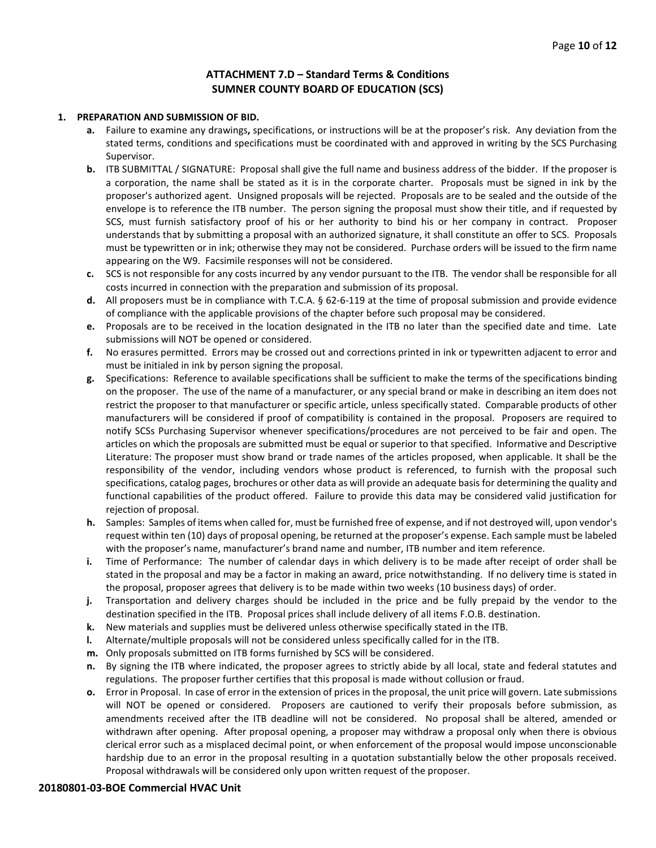#### **ATTACHMENT 7.D – Standard Terms & Conditions SUMNER COUNTY BOARD OF EDUCATION (SCS)**

#### **1. PREPARATION AND SUBMISSION OF BID.**

- **a.** Failure to examine any drawings**,** specifications, or instructions will be at the proposer's risk. Any deviation from the stated terms, conditions and specifications must be coordinated with and approved in writing by the SCS Purchasing Supervisor.
- **b.** ITB SUBMITTAL / SIGNATURE: Proposal shall give the full name and business address of the bidder. If the proposer is a corporation, the name shall be stated as it is in the corporate charter. Proposals must be signed in ink by the proposer's authorized agent. Unsigned proposals will be rejected. Proposals are to be sealed and the outside of the envelope is to reference the ITB number. The person signing the proposal must show their title, and if requested by SCS, must furnish satisfactory proof of his or her authority to bind his or her company in contract. Proposer understands that by submitting a proposal with an authorized signature, it shall constitute an offer to SCS. Proposals must be typewritten or in ink; otherwise they may not be considered. Purchase orders will be issued to the firm name appearing on the W9. Facsimile responses will not be considered.
- **c.** SCS is not responsible for any costs incurred by any vendor pursuant to the ITB. The vendor shall be responsible for all costs incurred in connection with the preparation and submission of its proposal.
- **d.** All proposers must be in compliance with T.C.A. § 62-6-119 at the time of proposal submission and provide evidence of compliance with the applicable provisions of the chapter before such proposal may be considered.
- **e.** Proposals are to be received in the location designated in the ITB no later than the specified date and time. Late submissions will NOT be opened or considered.
- **f.** No erasures permitted. Errors may be crossed out and corrections printed in ink or typewritten adjacent to error and must be initialed in ink by person signing the proposal.
- **g.** Specifications: Reference to available specifications shall be sufficient to make the terms of the specifications binding on the proposer. The use of the name of a manufacturer, or any special brand or make in describing an item does not restrict the proposer to that manufacturer or specific article, unless specifically stated. Comparable products of other manufacturers will be considered if proof of compatibility is contained in the proposal. Proposers are required to notify SCSs Purchasing Supervisor whenever specifications/procedures are not perceived to be fair and open. The articles on which the proposals are submitted must be equal or superior to that specified. Informative and Descriptive Literature: The proposer must show brand or trade names of the articles proposed, when applicable. It shall be the responsibility of the vendor, including vendors whose product is referenced, to furnish with the proposal such specifications, catalog pages, brochures or other data as will provide an adequate basis for determining the quality and functional capabilities of the product offered. Failure to provide this data may be considered valid justification for rejection of proposal.
- **h.** Samples: Samples of items when called for, must be furnished free of expense, and if not destroyed will, upon vendor's request within ten (10) days of proposal opening, be returned at the proposer's expense. Each sample must be labeled with the proposer's name, manufacturer's brand name and number, ITB number and item reference.
- **i.** Time of Performance: The number of calendar days in which delivery is to be made after receipt of order shall be stated in the proposal and may be a factor in making an award, price notwithstanding. If no delivery time is stated in the proposal, proposer agrees that delivery is to be made within two weeks (10 business days) of order.
- **j.** Transportation and delivery charges should be included in the price and be fully prepaid by the vendor to the destination specified in the ITB. Proposal prices shall include delivery of all items F.O.B. destination.
- **k.** New materials and supplies must be delivered unless otherwise specifically stated in the ITB.
- **l.** Alternate/multiple proposals will not be considered unless specifically called for in the ITB.
- **m.** Only proposals submitted on ITB forms furnished by SCS will be considered.
- **n.** By signing the ITB where indicated, the proposer agrees to strictly abide by all local, state and federal statutes and regulations. The proposer further certifies that this proposal is made without collusion or fraud.
- **o.** Error in Proposal. In case of error in the extension of prices in the proposal, the unit price will govern. Late submissions will NOT be opened or considered. Proposers are cautioned to verify their proposals before submission, as amendments received after the ITB deadline will not be considered. No proposal shall be altered, amended or withdrawn after opening. After proposal opening, a proposer may withdraw a proposal only when there is obvious clerical error such as a misplaced decimal point, or when enforcement of the proposal would impose unconscionable hardship due to an error in the proposal resulting in a quotation substantially below the other proposals received. Proposal withdrawals will be considered only upon written request of the proposer.

#### **20180801-03-BOE Commercial HVAC Unit**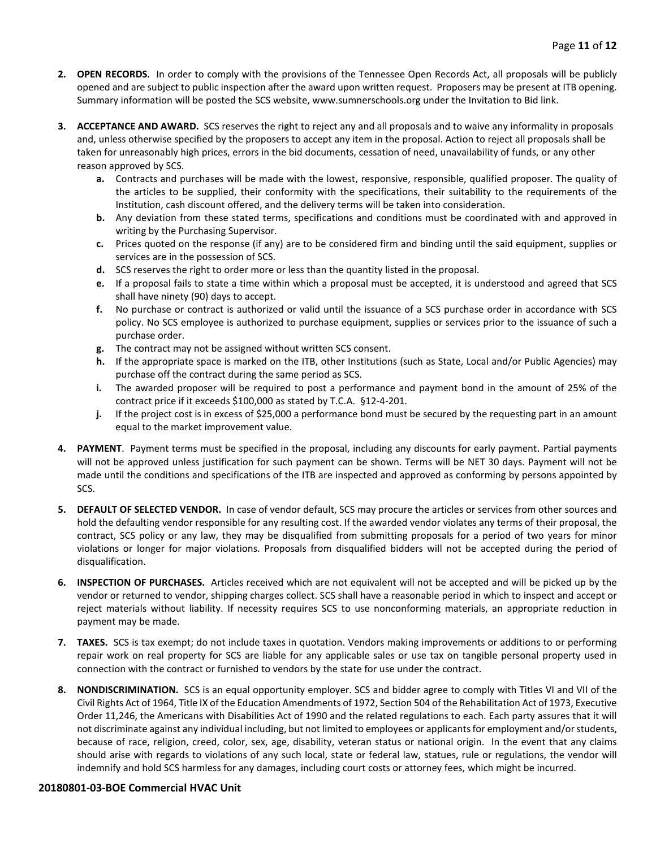- **2. OPEN RECORDS.** In order to comply with the provisions of the Tennessee Open Records Act, all proposals will be publicly opened and are subject to public inspection after the award upon written request. Proposers may be present at ITB opening. Summary information will be posted the SCS website, www.sumnerschools.org under the Invitation to Bid link.
- **3. ACCEPTANCE AND AWARD.** SCS reserves the right to reject any and all proposals and to waive any informality in proposals and, unless otherwise specified by the proposers to accept any item in the proposal. Action to reject all proposals shall be taken for unreasonably high prices, errors in the bid documents, cessation of need, unavailability of funds, or any other reason approved by SCS.
	- **a.** Contracts and purchases will be made with the lowest, responsive, responsible, qualified proposer. The quality of the articles to be supplied, their conformity with the specifications, their suitability to the requirements of the Institution, cash discount offered, and the delivery terms will be taken into consideration.
	- **b.** Any deviation from these stated terms, specifications and conditions must be coordinated with and approved in writing by the Purchasing Supervisor.
	- **c.** Prices quoted on the response (if any) are to be considered firm and binding until the said equipment, supplies or services are in the possession of SCS.
	- **d.** SCS reserves the right to order more or less than the quantity listed in the proposal.
	- **e.** If a proposal fails to state a time within which a proposal must be accepted, it is understood and agreed that SCS shall have ninety (90) days to accept.
	- **f.** No purchase or contract is authorized or valid until the issuance of a SCS purchase order in accordance with SCS policy. No SCS employee is authorized to purchase equipment, supplies or services prior to the issuance of such a purchase order.
	- **g.** The contract may not be assigned without written SCS consent.
	- **h.** If the appropriate space is marked on the ITB, other Institutions (such as State, Local and/or Public Agencies) may purchase off the contract during the same period as SCS.
	- **i.** The awarded proposer will be required to post a performance and payment bond in the amount of 25% of the contract price if it exceeds \$100,000 as stated by T.C.A. §12-4-201.
	- **j.** If the project cost is in excess of \$25,000 a performance bond must be secured by the requesting part in an amount equal to the market improvement value.
- **4. PAYMENT**. Payment terms must be specified in the proposal, including any discounts for early payment. Partial payments will not be approved unless justification for such payment can be shown. Terms will be NET 30 days. Payment will not be made until the conditions and specifications of the ITB are inspected and approved as conforming by persons appointed by SCS.
- **5. DEFAULT OF SELECTED VENDOR.** In case of vendor default, SCS may procure the articles or services from other sources and hold the defaulting vendor responsible for any resulting cost. If the awarded vendor violates any terms of their proposal, the contract, SCS policy or any law, they may be disqualified from submitting proposals for a period of two years for minor violations or longer for major violations. Proposals from disqualified bidders will not be accepted during the period of disqualification.
- **6. INSPECTION OF PURCHASES.** Articles received which are not equivalent will not be accepted and will be picked up by the vendor or returned to vendor, shipping charges collect. SCS shall have a reasonable period in which to inspect and accept or reject materials without liability. If necessity requires SCS to use nonconforming materials, an appropriate reduction in payment may be made.
- **7. TAXES.** SCS is tax exempt; do not include taxes in quotation. Vendors making improvements or additions to or performing repair work on real property for SCS are liable for any applicable sales or use tax on tangible personal property used in connection with the contract or furnished to vendors by the state for use under the contract.
- **8. NONDISCRIMINATION.** SCS is an equal opportunity employer. SCS and bidder agree to comply with Titles VI and VII of the Civil Rights Act of 1964, Title IX of the Education Amendments of 1972, Section 504 of the Rehabilitation Act of 1973, Executive Order 11,246, the Americans with Disabilities Act of 1990 and the related regulations to each. Each party assures that it will not discriminate against any individual including, but not limited to employees or applicants for employment and/or students, because of race, religion, creed, color, sex, age, disability, veteran status or national origin. In the event that any claims should arise with regards to violations of any such local, state or federal law, statues, rule or regulations, the vendor will indemnify and hold SCS harmless for any damages, including court costs or attorney fees, which might be incurred.

#### **20180801-03-BOE Commercial HVAC Unit**